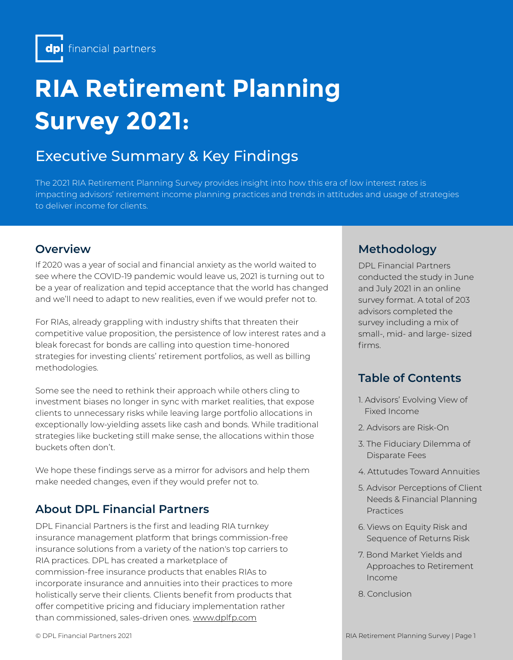# **RIA Retirement Planning Survey 2021:**

# Executive Summary & Key Findings

The 2021 RIA Retirement Planning Survey provides insight into how this era of low interest rates is impacting advisors' retirement income planning practices and trends in attitudes and usage of strategies to deliver income for clients.

If 2020 was a year of social and financial anxiety as the world waited to see where the COVID-19 pandemic would leave us, 2021 is turning out to be a year of realization and tepid acceptance that the world has changed and we'll need to adapt to new realities, even if we would prefer not to.

For RIAs, already grappling with industry shifts that threaten their competitive value proposition, the persistence of low interest rates and a bleak forecast for bonds are calling into question time-honored strategies for investing clients' retirement portfolios, as well as billing methodologies.

Some see the need to rethink their approach while others cling to investment biases no longer in sync with market realities, that expose clients to unnecessary risks while leaving large portfolio allocations in exceptionally low-yielding assets like cash and bonds. While traditional strategies like bucketing still make sense, the allocations within those buckets often don't.

We hope these findings serve as a mirror for advisors and help them make needed changes, even if they would prefer not to.

# **About DPL Financial Partners**

DPL Financial Partners is the first and leading RIA turnkey insurance management platform that brings commission-free insurance solutions from a variety of the nation's top carriers to RIA practices. DPL has created a marketplace of commission-free insurance products that enables RIAs to incorporate insurance and annuities into their practices to more holistically serve their clients. Clients benefit from products that offer competitive pricing and fiduciary implementation rather than commissioned, sales-driven ones. www.dplfp.com

#### **Overview Accounting the Coverview Accounting Methodology**

DPL Financial Partners conducted the study in June and July 2021 in an online survey format. A total of 203 advisors completed the survey including a mix of small-, mid- and large- sized firms.

# **Table of Contents**

- 1. Advisors' Evolving View of Fixed Income
- 2. Advisors are Risk-On
- 3. The Fiduciary Dilemma of Disparate Fees
- 4. Attutudes Toward Annuities
- 5. Advisor Perceptions of Client Needs & Financial Planning Practices
- 6. Views on Equity Risk and Sequence of Returns Risk
- 7. Bond Market Yields and Approaches to Retirement Income
- 8. Conclusion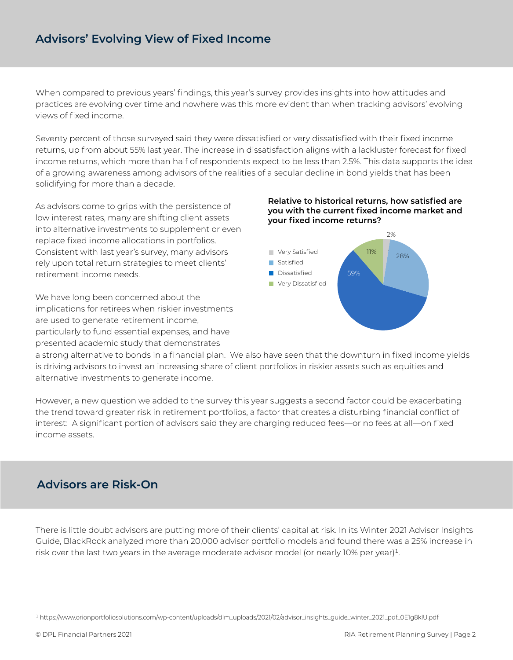# **Advisors' Evolving View of Fixed Income**

When compared to previous years' findings, this year's survey provides insights into how attitudes and practices are evolving over time and nowhere was this more evident than when tracking advisors' evolving views of fixed income.

Seventy percent of those surveyed said they were dissatisfied or very dissatisfied with their fixed income returns, up from about 55% last year. The increase in dissatisfaction aligns with a lackluster forecast for fixed income returns, which more than half of respondents expect to be less than 2.5%. This data supports the idea of a growing awareness among advisors of the realities of a secular decline in bond yields that has been solidifying for more than a decade.

As advisors come to grips with the persistence of low interest rates, many are shifting client assets into alternative investments to supplement or even replace fixed income allocations in portfolios. Consistent with last year's survey, many advisors rely upon total return strategies to meet clients' retirement income needs.

We have long been concerned about the implications for retirees when riskier investments are used to generate retirement income, particularly to fund essential expenses, and have presented academic study that demonstrates

#### **Relative to historical returns, how satisfied are you with the current fixed income market and your fixed income returns?**



a strong alternative to bonds in a financial plan. We also have seen that the downturn in fixed income yields is driving advisors to invest an increasing share of client portfolios in riskier assets such as equities and alternative investments to generate income.

However, a new question we added to the survey this year suggests a second factor could be exacerbating the trend toward greater risk in retirement portfolios, a factor that creates a disturbing financial conflict of interest: A significant portion of advisors said they are charging reduced fees—or no fees at all—on fixed income assets.

# **Advisors are Risk-On**

There is little doubt advisors are putting more of their clients' capital at risk. In its Winter 2021 Advisor Insights Guide, BlackRock analyzed more than 20,000 advisor portfolio models and found there was a 25% increase in risk over the last two years in the average moderate advisor model (or nearly  $10\%$  per year)<sup>1</sup>.

<sup>1</sup> https://www.orionportfoliosolutions.com/wp-content/uploads/dlm\_uploads/2021/02/advisor\_insights\_guide\_winter\_2021\_pdf\_0E1g8klU.pdf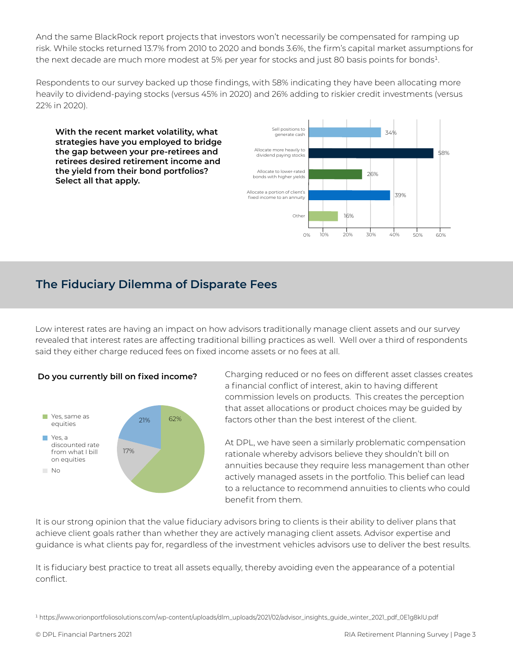And the same BlackRock report projects that investors won't necessarily be compensated for ramping up risk. While stocks returned 13.7% from 2010 to 2020 and bonds 3.6%, the firm's capital market assumptions for the next decade are much more modest at 5% per year for stocks and just 80 basis points for bonds<sup>1</sup>.

Respondents to our survey backed up those findings, with 58% indicating they have been allocating more heavily to dividend-paying stocks (versus 45% in 2020) and 26% adding to riskier credit investments (versus 22% in 2020).

**With the recent market volatility, what strategies have you employed to bridge the gap between your pre-retirees and retirees desired retirement income and the yield from their bond portfolios? Select all that apply.**



# **The Fiduciary Dilemma of Disparate Fees**

Low interest rates are having an impact on how advisors traditionally manage client assets and our survey revealed that interest rates are affecting traditional billing practices as well. Well over a third of respondents said they either charge reduced fees on fixed income assets or no fees at all.





Charging reduced or no fees on different asset classes creates a financial conflict of interest, akin to having different commission levels on products. This creates the perception that asset allocations or product choices may be guided by factors other than the best interest of the client.

At DPL, we have seen a similarly problematic compensation rationale whereby advisors believe they shouldn't bill on annuities because they require less management than other actively managed assets in the portfolio. This belief can lead to a reluctance to recommend annuities to clients who could benefit from them.

It is our strong opinion that the value fiduciary advisors bring to clients is their ability to deliver plans that achieve client goals rather than whether they are actively managing client assets. Advisor expertise and guidance is what clients pay for, regardless of the investment vehicles advisors use to deliver the best results.

It is fiduciary best practice to treat all assets equally, thereby avoiding even the appearance of a potential conflict.

<sup>&</sup>lt;sup>1</sup> https://www.orionportfoliosolutions.com/wp-content/uploads/dlm\_uploads/2021/02/advisor\_insights\_guide\_winter\_2021\_pdf\_0E1g8klU.pdf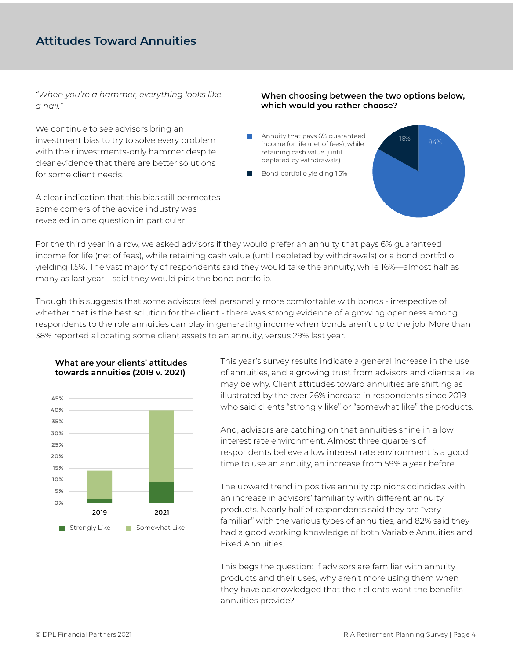# **Attitudes Toward Annuities**

*"When you're a hammer, everything looks like a nail."*

We continue to see advisors bring an investment bias to try to solve every problem with their investments-only hammer despite clear evidence that there are better solutions for some client needs.

A clear indication that this bias still permeates some corners of the advice industry was revealed in one question in particular.

#### **When choosing between the two options below, which would you rather choose?**

- Annuity that pays 6% guaranteed income for life (net of fees), while retaining cash value (until depleted by withdrawals)
- Bond portfolio yielding 1.5%

16% 84%

For the third year in a row, we asked advisors if they would prefer an annuity that pays 6% guaranteed income for life (net of fees), while retaining cash value (until depleted by withdrawals) or a bond portfolio yielding 1.5%. The vast majority of respondents said they would take the annuity, while 16%—almost half as many as last year—said they would pick the bond portfolio.

Though this suggests that some advisors feel personally more comfortable with bonds - irrespective of whether that is the best solution for the client - there was strong evidence of a growing openness among respondents to the role annuities can play in generating income when bonds aren't up to the job. More than 38% reported allocating some client assets to an annuity, versus 29% last year.



**What are your clients' attitudes towards annuities (2019 v. 2021)**

This year's survey results indicate a general increase in the use of annuities, and a growing trust from advisors and clients alike may be why. Client attitudes toward annuities are shifting as illustrated by the over 26% increase in respondents since 2019 who said clients "strongly like" or "somewhat like" the products.

And, advisors are catching on that annuities shine in a low interest rate environment. Almost three quarters of respondents believe a low interest rate environment is a good time to use an annuity, an increase from 59% a year before.

The upward trend in positive annuity opinions coincides with an increase in advisors' familiarity with different annuity products. Nearly half of respondents said they are "very familiar" with the various types of annuities, and 82% said they had a good working knowledge of both Variable Annuities and Fixed Annuities.

This begs the question: If advisors are familiar with annuity products and their uses, why aren't more using them when they have acknowledged that their clients want the benefits annuities provide?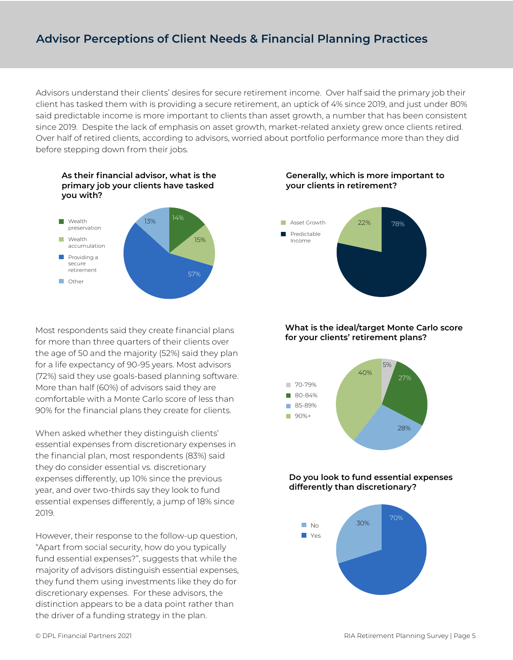# **Advisor Perceptions of Client Needs & Financial Planning Practices**

Advisors understand their clients' desires for secure retirement income. Over half said the primary job their client has tasked them with is providing a secure retirement, an uptick of 4% since 2019, and just under 80% said predictable income is more important to clients than asset growth, a number that has been consistent since 2019. Despite the lack of emphasis on asset growth, market-related anxiety grew once clients retired. Over half of retired clients, according to advisors, worried about portfolio performance more than they did before stepping down from their jobs.





Most respondents said they create financial plans for more than three quarters of their clients over the age of 50 and the majority (52%) said they plan for a life expectancy of 90-95 years. Most advisors (72%) said they use goals-based planning software. More than half (60%) of advisors said they are comfortable with a Monte Carlo score of less than 90% for the financial plans they create for clients.

When asked whether they distinguish clients' essential expenses from discretionary expenses in the financial plan, most respondents (83%) said they do consider essential vs. discretionary expenses differently, up 10% since the previous year, and over two-thirds say they look to fund essential expenses differently, a jump of 18% since 2019.

However, their response to the follow-up question, "Apart from social security, how do you typically fund essential expenses?", suggests that while the majority of advisors distinguish essential expenses, they fund them using investments like they do for discretionary expenses. For these advisors, the distinction appears to be a data point rather than the driver of a funding strategy in the plan.

**Generally, which is more important to your clients in retirement?**



#### **What is the ideal/target Monte Carlo score for your clients' retirement plans?**



#### **Do you look to fund essential expenses differently than discretionary?**

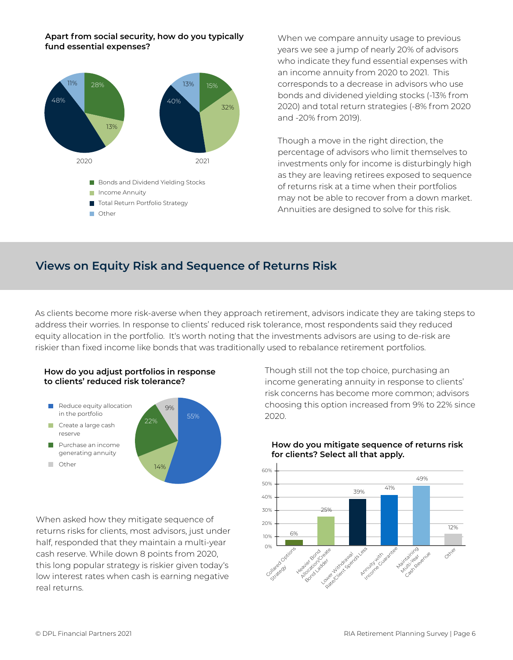#### **Apart from social security, how do you typically fund essential expenses?**



When we compare annuity usage to previous years we see a jump of nearly 20% of advisors who indicate they fund essential expenses with an income annuity from 2020 to 2021. This corresponds to a decrease in advisors who use bonds and dividened yielding stocks (-13% from 2020) and total return strategies (-8% from 2020 and -20% from 2019).

Though a move in the right direction, the percentage of advisors who limit themselves to investments only for income is disturbingly high as they are leaving retirees exposed to sequence of returns risk at a time when their portfolios may not be able to recover from a down market. Annuities are designed to solve for this risk.

#### **Views on Equity Risk and Sequence of Returns Risk**

As clients become more risk-averse when they approach retirement, advisors indicate they are taking steps to address their worries. In response to clients' reduced risk tolerance, most respondents said they reduced equity allocation in the portfolio. It's worth noting that the investments advisors are using to de-risk are riskier than fixed income like bonds that was traditionally used to rebalance retirement portfolios.





When asked how they mitigate sequence of returns risks for clients, most advisors, just under half, responded that they maintain a multi-year cash reserve. While down 8 points from 2020, this long popular strategy is riskier given today's low interest rates when cash is earning negative real returns.

Though still not the top choice, purchasing an income generating annuity in response to clients' risk concerns has become more common; advisors choosing this option increased from 9% to 22% since 2020.



#### **How do you mitigate sequence of returns risk for clients? Select all that apply.**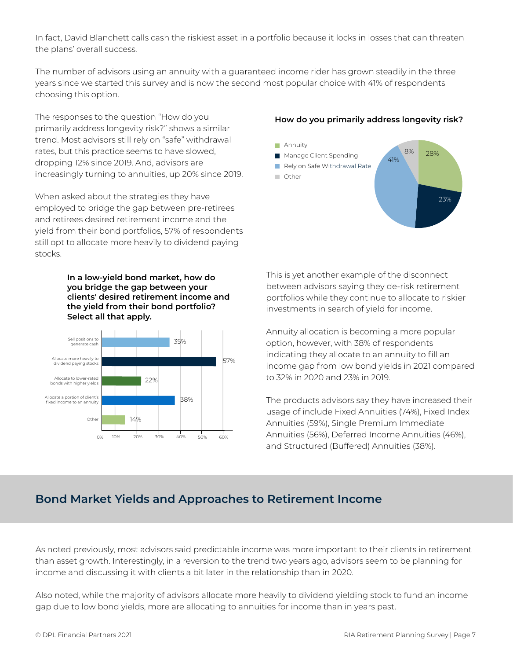In fact, David Blanchett calls cash the riskiest asset in a portfolio because it locks in losses that can threaten the plans' overall success.

The number of advisors using an annuity with a guaranteed income rider has grown steadily in the three years since we started this survey and is now the second most popular choice with 41% of respondents choosing this option.

The responses to the question "How do you primarily address longevity risk?" shows a similar trend. Most advisors still rely on "safe" withdrawal rates, but this practice seems to have slowed, dropping 12% since 2019. And, advisors are increasingly turning to annuities, up 20% since 2019.

When asked about the strategies they have employed to bridge the gap between pre-retirees and retirees desired retirement income and the yield from their bond portfolios, 57% of respondents still opt to allocate more heavily to dividend paying stocks.

> **In a low-yield bond market, how do you bridge the gap between your clients' desired retirement income and the yield from their bond portfolio? Select all that apply.**



#### **How do you primarily address longevity risk?**



This is yet another example of the disconnect between advisors saying they de-risk retirement portfolios while they continue to allocate to riskier investments in search of yield for income.

Annuity allocation is becoming a more popular option, however, with 38% of respondents indicating they allocate to an annuity to fill an income gap from low bond yields in 2021 compared to 32% in 2020 and 23% in 2019.

The products advisors say they have increased their usage of include Fixed Annuities (74%), Fixed Index Annuities (59%), Single Premium Immediate Annuities (56%), Deferred Income Annuities (46%), and Structured (Buffered) Annuities (38%).

# **Bond Market Yields and Approaches to Retirement Income**

As noted previously, most advisors said predictable income was more important to their clients in retirement than asset growth. Interestingly, in a reversion to the trend two years ago, advisors seem to be planning for income and discussing it with clients a bit later in the relationship than in 2020.

Also noted, while the majority of advisors allocate more heavily to dividend yielding stock to fund an income gap due to low bond yields, more are allocating to annuities for income than in years past.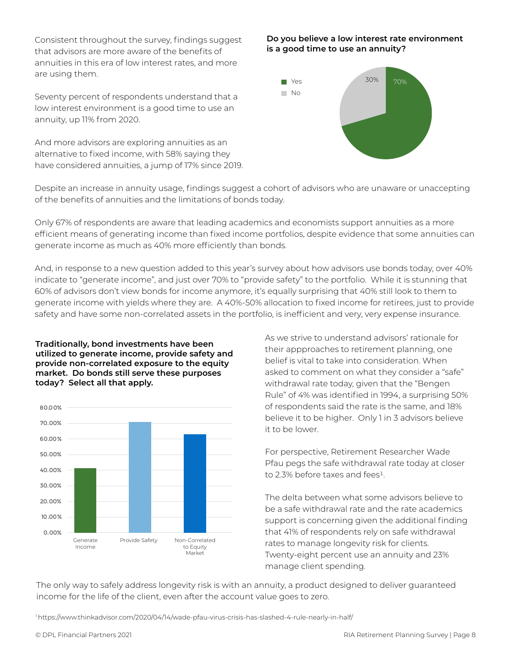Consistent throughout the survey, findings suggest that advisors are more aware of the benefits of annuities in this era of low interest rates, and more are using them.

Seventy percent of respondents understand that a low interest environment is a good time to use an annuity, up 11% from 2020.

And more advisors are exploring annuities as an alternative to fixed income, with 58% saying they have considered annuities, a jump of 17% since 2019.

#### **Do you believe a low interest rate environment is a good time to use an annuity?**



Despite an increase in annuity usage, findings suggest a cohort of advisors who are unaware or unaccepting of the benefits of annuities and the limitations of bonds today.

Only 67% of respondents are aware that leading academics and economists support annuities as a more efficient means of generating income than fixed income portfolios, despite evidence that some annuities can generate income as much as 40% more efficiently than bonds.

And, in response to a new question added to this year's survey about how advisors use bonds today, over 40% indicate to "generate income", and just over 70% to "provide safety" to the portfolio. While it is stunning that 60% of advisors don't view bonds for income anymore, it's equally surprising that 40% still look to them to generate income with yields where they are. A 40%-50% allocation to fixed income for retirees, just to provide safety and have some non-correlated assets in the portfolio, is inefficient and very, very expense insurance.

#### **Traditionally, bond investments have been utilized to generate income, provide safety and provide non-correlated exposure to the equity market. Do bonds still serve these purposes today? Select all that apply.**



As we strive to understand advisors' rationale for their appproaches to retirement planning, one belief is vital to take into consideration. When asked to comment on what they consider a "safe" withdrawal rate today, given that the "Bengen Rule" of 4% was identified in 1994, a surprising 50% of respondents said the rate is the same, and 18% believe it to be higher. Only 1 in 3 advisors believe it to be lower.

For perspective, Retirement Researcher Wade Pfau pegs the safe withdrawal rate today at closer to 2.3% before taxes and fees<sup>1</sup>.

The delta between what some advisors believe to be a safe withdrawal rate and the rate academics support is concerning given the additional finding that 41% of respondents rely on safe withdrawal rates to manage longevity risk for clients. Twenty-eight percent use an annuity and 23% manage client spending.

The only way to safely address longevity risk is with an annuity, a product designed to deliver guaranteed income for the life of the client, even after the account value goes to zero.

1 https://www.thinkadvisor.com/2020/04/14/wade-pfau-virus-crisis-has-slashed-4-rule-nearly-in-half/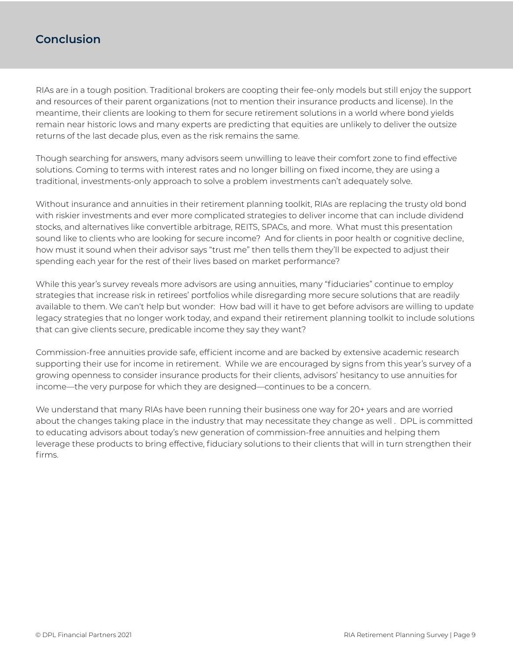# **Conclusion**

RIAs are in a tough position. Traditional brokers are coopting their fee-only models but still enjoy the support and resources of their parent organizations (not to mention their insurance products and license). In the meantime, their clients are looking to them for secure retirement solutions in a world where bond yields remain near historic lows and many experts are predicting that equities are unlikely to deliver the outsize returns of the last decade plus, even as the risk remains the same.

Though searching for answers, many advisors seem unwilling to leave their comfort zone to find effective solutions. Coming to terms with interest rates and no longer billing on fixed income, they are using a traditional, investments-only approach to solve a problem investments can't adequately solve.

Without insurance and annuities in their retirement planning toolkit, RIAs are replacing the trusty old bond with riskier investments and ever more complicated strategies to deliver income that can include dividend stocks, and alternatives like convertible arbitrage, REITS, SPACs, and more. What must this presentation sound like to clients who are looking for secure income? And for clients in poor health or cognitive decline, how must it sound when their advisor says "trust me" then tells them they'll be expected to adjust their spending each year for the rest of their lives based on market performance?

While this year's survey reveals more advisors are using annuities, many "fiduciaries" continue to employ strategies that increase risk in retirees' portfolios while disregarding more secure solutions that are readily available to them. We can't help but wonder: How bad will it have to get before advisors are willing to update legacy strategies that no longer work today, and expand their retirement planning toolkit to include solutions that can give clients secure, predicable income they say they want?

Commission-free annuities provide safe, efficient income and are backed by extensive academic research supporting their use for income in retirement. While we are encouraged by signs from this year's survey of a growing openness to consider insurance products for their clients, advisors' hesitancy to use annuities for income—the very purpose for which they are designed—continues to be a concern.

We understand that many RIAs have been running their business one way for 20+ years and are worried about the changes taking place in the industry that may necessitate they change as well . DPL is committed to educating advisors about today's new generation of commission-free annuities and helping them leverage these products to bring effective, fiduciary solutions to their clients that will in turn strengthen their firms.